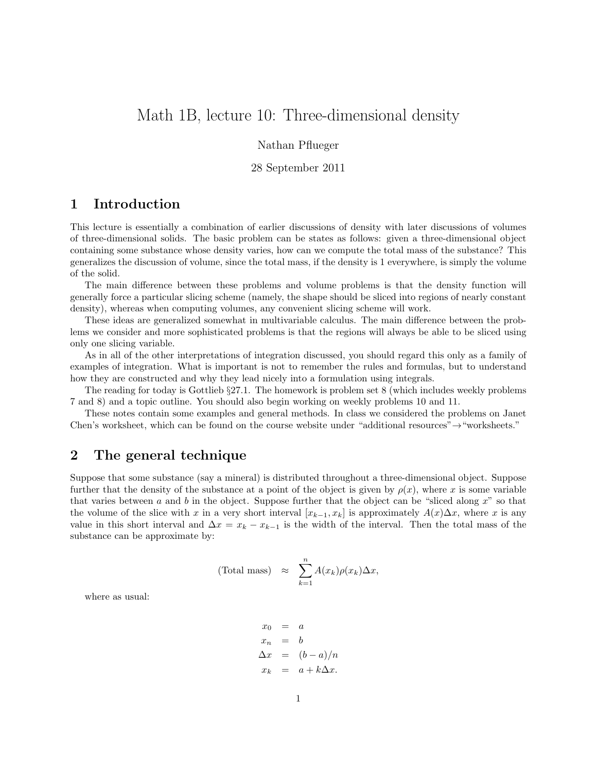# Math 1B, lecture 10: Three-dimensional density

#### Nathan Pflueger

#### 28 September 2011

## 1 Introduction

This lecture is essentially a combination of earlier discussions of density with later discussions of volumes of three-dimensional solids. The basic problem can be states as follows: given a three-dimensional object containing some substance whose density varies, how can we compute the total mass of the substance? This generalizes the discussion of volume, since the total mass, if the density is 1 everywhere, is simply the volume of the solid.

The main difference between these problems and volume problems is that the density function will generally force a particular slicing scheme (namely, the shape should be sliced into regions of nearly constant density), whereas when computing volumes, any convenient slicing scheme will work.

These ideas are generalized somewhat in multivariable calculus. The main difference between the problems we consider and more sophisticated problems is that the regions will always be able to be sliced using only one slicing variable.

As in all of the other interpretations of integration discussed, you should regard this only as a family of examples of integration. What is important is not to remember the rules and formulas, but to understand how they are constructed and why they lead nicely into a formulation using integrals.

The reading for today is Gottlieb §27.1. The homework is problem set 8 (which includes weekly problems 7 and 8) and a topic outline. You should also begin working on weekly problems 10 and 11.

These notes contain some examples and general methods. In class we considered the problems on Janet Chen's worksheet, which can be found on the course website under "additional resources"→"worksheets."

### 2 The general technique

Suppose that some substance (say a mineral) is distributed throughout a three-dimensional object. Suppose further that the density of the substance at a point of the object is given by  $\rho(x)$ , where x is some variable that varies between a and b in the object. Suppose further that the object can be "sliced along  $x$ " so that the volume of the slice with x in a very short interval  $[x_{k-1}, x_k]$  is approximately  $A(x)\Delta x$ , where x is any value in this short interval and  $\Delta x = x_k - x_{k-1}$  is the width of the interval. Then the total mass of the substance can be approximate by:

(Total mass) 
$$
\approx \sum_{k=1}^{n} A(x_k) \rho(x_k) \Delta x
$$
,

where as usual:

$$
\begin{array}{rcl} x_0 & = & a \\ x_n & = & b \\ \Delta x & = & (b-a)/n \\ x_k & = & a+k\Delta x. \end{array}
$$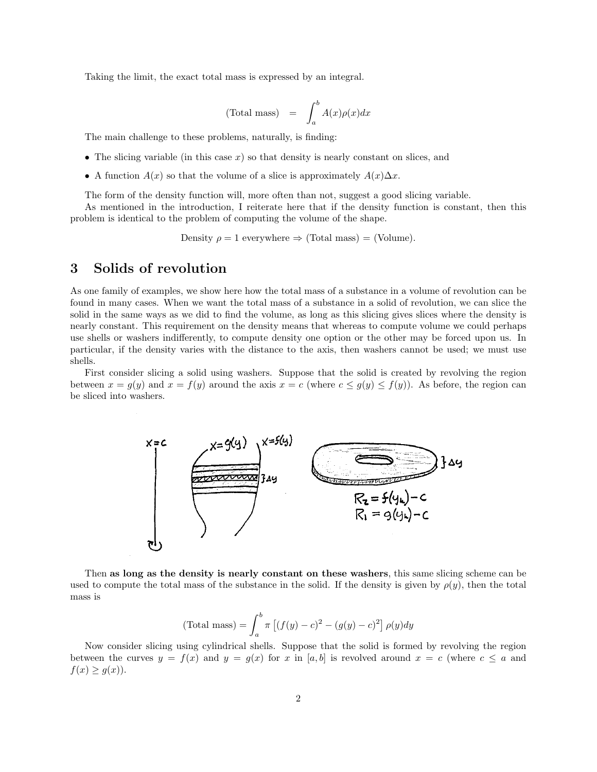Taking the limit, the exact total mass is expressed by an integral.

$$
(\text{Total mass}) = \int_{a}^{b} A(x)\rho(x)dx
$$

The main challenge to these problems, naturally, is finding:

- The slicing variable (in this case  $x$ ) so that density is nearly constant on slices, and
- A function  $A(x)$  so that the volume of a slice is approximately  $A(x)\Delta x$ .

The form of the density function will, more often than not, suggest a good slicing variable.

As mentioned in the introduction, I reiterate here that if the density function is constant, then this problem is identical to the problem of computing the volume of the shape.

Density  $\rho = 1$  everywhere  $\Rightarrow$  (Total mass) = (Volume).

## 3 Solids of revolution

As one family of examples, we show here how the total mass of a substance in a volume of revolution can be found in many cases. When we want the total mass of a substance in a solid of revolution, we can slice the solid in the same ways as we did to find the volume, as long as this slicing gives slices where the density is nearly constant. This requirement on the density means that whereas to compute volume we could perhaps use shells or washers indifferently, to compute density one option or the other may be forced upon us. In particular, if the density varies with the distance to the axis, then washers cannot be used; we must use shells.

First consider slicing a solid using washers. Suppose that the solid is created by revolving the region between  $x = g(y)$  and  $x = f(y)$  around the axis  $x = c$  (where  $c \le g(y) \le f(y)$ ). As before, the region can be sliced into washers.



Then as long as the density is nearly constant on these washers, this same slicing scheme can be used to compute the total mass of the substance in the solid. If the density is given by  $\rho(y)$ , then the total mass is

(Total mass) = 
$$
\int_{a}^{b} \pi [(f(y) - c)^{2} - (g(y) - c)^{2}] \rho(y) dy
$$

Now consider slicing using cylindrical shells. Suppose that the solid is formed by revolving the region between the curves  $y = f(x)$  and  $y = g(x)$  for x in [a, b] is revolved around  $x = c$  (where  $c \le a$  and  $f(x) \geq g(x)$ .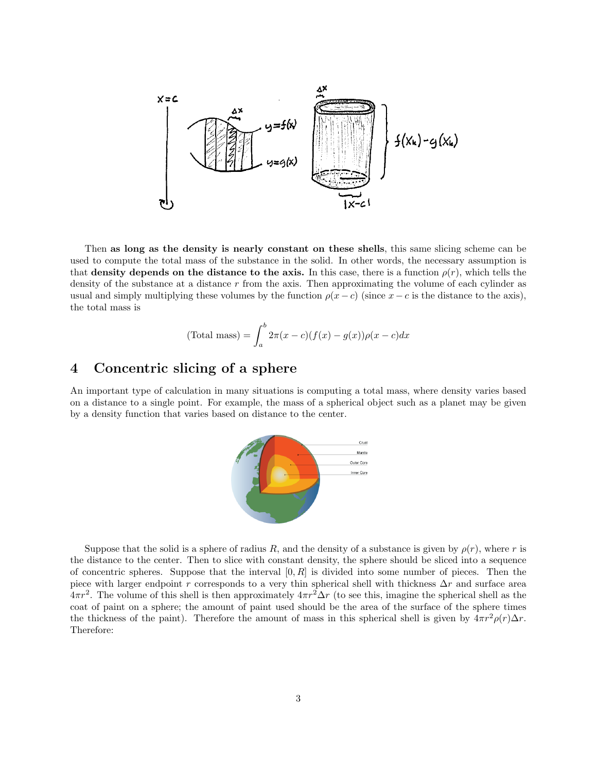

Then as long as the density is nearly constant on these shells, this same slicing scheme can be used to compute the total mass of the substance in the solid. In other words, the necessary assumption is that density depends on the distance to the axis. In this case, there is a function  $\rho(r)$ , which tells the density of the substance at a distance  $r$  from the axis. Then approximating the volume of each cylinder as usual and simply multiplying these volumes by the function  $\rho(x-c)$  (since  $x-c$  is the distance to the axis), the total mass is

(Total mass) = 
$$
\int_{a}^{b} 2\pi(x-c)(f(x)-g(x))\rho(x-c)dx
$$

#### 4 Concentric slicing of a sphere

An important type of calculation in many situations is computing a total mass, where density varies based on a distance to a single point. For example, the mass of a spherical object such as a planet may be given by a density function that varies based on distance to the center.



Suppose that the solid is a sphere of radius R, and the density of a substance is given by  $\rho(r)$ , where r is the distance to the center. Then to slice with constant density, the sphere should be sliced into a sequence of concentric spheres. Suppose that the interval  $[0, R]$  is divided into some number of pieces. Then the piece with larger endpoint r corresponds to a very thin spherical shell with thickness  $\Delta r$  and surface area  $4\pi r^2$ . The volume of this shell is then approximately  $4\pi r^2 \Delta r$  (to see this, imagine the spherical shell as the coat of paint on a sphere; the amount of paint used should be the area of the surface of the sphere times the thickness of the paint). Therefore the amount of mass in this spherical shell is given by  $4\pi r^2 \rho(r) \Delta r$ . Therefore: